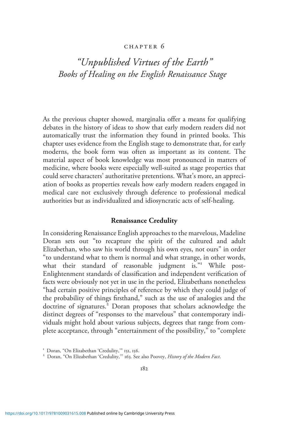## chapter 6

"Unpublished Virtues of the Earth" Books of Healing on the English Renaissance Stage

As the previous chapter showed, marginalia offer a means for qualifying debates in the history of ideas to show that early modern readers did not automatically trust the information they found in printed books. This chapter uses evidence from the English stage to demonstrate that, for early moderns, the book form was often as important as its content. The material aspect of book knowledge was most pronounced in matters of medicine, where books were especially well-suited as stage properties that could serve characters' authoritative pretentions. What's more, an appreciation of books as properties reveals how early modern readers engaged in medical care not exclusively through deference to professional medical authorities but as individualized and idiosyncratic acts of self-healing.

## Renaissance Credulity

In considering Renaissance English approaches to the marvelous, Madeline Doran sets out "to recapture the spirit of the cultured and adult Elizabethan, who saw his world through his own eyes, not ours" in order "to understand what to them is normal and what strange, in other words, what their standard of reasonable judgment is."<sup>1</sup> While post-Enlightenment standards of classification and independent verification of facts were obviously not yet in use in the period, Elizabethans nonetheless "had certain positive principles of reference by which they could judge of the probability of things firsthand," such as the use of analogies and the doctrine of signatures.<sup>2</sup> Doran proposes that scholars acknowledge the distinct degrees of "responses to the marvelous" that contemporary individuals might hold about various subjects, degrees that range from complete acceptance, through "entertainment of the possibility," to "complete

<sup>&</sup>lt;sup>1</sup> Doran, "On Elizabethan 'Credulity," 151, 156.<br><sup>2</sup> Doran, "On Elizabethan 'Credulity," 163. See also Poovey, *History of the Modern Fact*.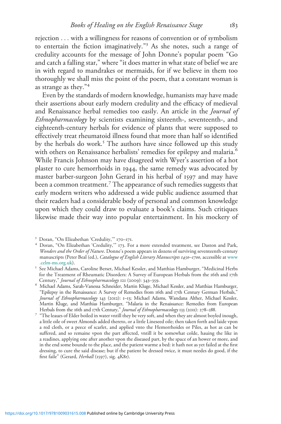rejection ... with a willingness for reasons of convention or of symbolism to entertain the fiction imaginatively." <sup>3</sup> As she notes, such a range of credulity accounts for the message of John Donne's popular poem "Go and catch a falling star," where "it does matter in what state of belief we are in with regard to mandrakes or mermaids, for if we believe in them too thoroughly we shall miss the point of the poem, that a constant woman is as strange as they." 4

Even by the standards of modern knowledge, humanists may have made their assertions about early modern credulity and the efficacy of medieval and Renaissance herbal remedies too easily. An article in the Journal of Ethnopharmacology by scientists examining sixteenth-, seventeenth-, and eighteenth-century herbals for evidence of plants that were supposed to effectively treat rheumatoid illness found that more than half so identified by the herbals do work.<sup>5</sup> The authors have since followed up this study with others on Renaissance herbalists' remedies for epilepsy and malaria.<sup>6</sup> While Francis Johnson may have disagreed with Wyer's assertion of a hot plaster to cure hemorrhoids in 1944, the same remedy was advocated by master barber-surgeon John Gerard in his herbal of 1597 and may have been a common treatment.<sup>7</sup> The appearance of such remedies suggests that early modern writers who addressed a wide public audience assumed that their readers had a considerable body of personal and common knowledge upon which they could draw to evaluate a book's claims. Such critiques likewise made their way into popular entertainment. In his mockery of

<sup>3</sup> Doran, "On Elizabethan 'Credulity,'" <sup>170</sup>–171. <sup>4</sup> Doran, "On Elizabethan 'Credulity,'" <sup>173</sup>. For a more extended treatment, see Daston and Park, Wonders and the Order of Nature. Donne's poem appears in dozens of surviving seventeenth-century manuscripts (Peter Beal (ed.), *Catalogue of English Literary Manuscripts 1450–1700*, accessible at [www](http://www.celm-ms.org.uk)<br>.celm-ms.org.uk).

 $5$  See Michael Adams, Caroline Berset, Michael Kessler, and Matthias Hamburger, "Medicinal Herbs for the Treatment of Rheumatic Disorders: A Survey of European Herbals from the 16th and 17th Century," Journal of Ethnopharmacology 121 (2009): 343–359.

<sup>6</sup> Michael Adams, Sarah-Vanessa Schneider, Martin Kluge, Michael Kessler, and Matthias Hamburger, "Epilepsy in the Renaissance: A Survey of Remedies from 16th and 17th Century German Herbals," Journal of Ethnopharmacology 143 (2012): 1-13; Michael Adams, Wandana Alther, Michael Kessler, Martin Kluge, and Matthias Hamburger, "Malaria in the Renaissance: Remedies from European Herbals from the 16th and 17th Century," Journal of Ethnopharmacology 133 (2011): 278-288.

<sup>&</sup>lt;sup>7</sup> "The leaues of Elder boiled in water vntill they be very soft, and when they are almost boyled inough, a little oile of sweet Almonds added thereto, or a little Lineseed oile; then taken forth and laide vpon a red cloth, or a peece of scarlet, and applied vnto the Hemorrhoides or Piles, as hot as can be suffered, and so remaine vpon the part affected, vntill it be somewhat colde, hauing the like in a readines, applying one after another vpon the diseased part, by the space of an hower or more, and in the end some bounde to the place, and the patient warme a bed: it hath not as yet failed at the first dressing, to cure the said disease; but if the patient be dressed twice, it must needes do good, if the first faile" (Gerard, Herball (1597), sig. 4K8r).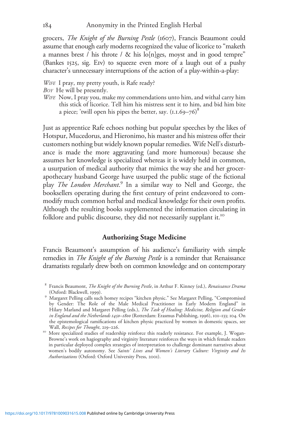grocers, The Knight of the Burning Pestle (1607), Francis Beaumont could assume that enough early moderns recognized the value of licorice to "maketh a mannes brest / his throte / & his  $\log \log n$ , moyst and in good tempre" (Bankes 1525, sig. E1v) to squeeze even more of a laugh out of a pushy character's unnecessary interruptions of the action of a play-within-a-play:

WIFE I pray, my pretty youth, is Rafe ready?

Boy He will be presently.

WIFE Now, I pray you, make my commendations unto him, and withal carry him this stick of licorice. Tell him his mistress sent it to him, and bid him bite a piece; 'twill open his pipes the better, say.  $(1.1.69-76)^8$ 

Just as apprentice Rafe echoes nothing but popular speeches by the likes of Hotspur, Mucedorus, and Hieronimo, his master and his mistress offer their customers nothing but widely known popular remedies. Wife Nell's disturbance is made the more aggravating (and more humorous) because she assumes her knowledge is specialized whereas it is widely held in common, a usurpation of medical authority that mimics the way she and her grocerapothecary husband George have usurped the public stage of the fictional play The London Merchant.<sup>9</sup> In a similar way to Nell and George, the booksellers operating during the first century of print endeavored to commodify much common herbal and medical knowledge for their own profits. Although the resulting books supplemented the information circulating in folklore and public discourse, they did not necessarily supplant it.<sup>10</sup>

## Authorizing Stage Medicine

Francis Beaumont's assumption of his audience's familiarity with simple remedies in *The Knight of the Burning Pestle* is a reminder that Renaissance dramatists regularly drew both on common knowledge and on contemporary

<sup>&</sup>lt;sup>8</sup> Francis Beaumont, *The Knight of the Burning Pestle*, in Arthur F. Kinney (ed.), *Renaissance Drama* (Oxford: Blackwell, <sup>1999</sup>). <sup>9</sup> Margaret Pelling calls such homey recipes "kitchen physic." See Margaret Pelling, "Compromised

by Gender: The Role of the Male Medical Practitioner in Early Modern England" in Hilary Marland and Margaret Pelling (eds.), The Task of Healing: Medicine, Religion and Gender in England and the Netherlands 1450–1800 (Rotterdam: Erasmus Publishing, 1996), 101–133; 104. On the epistemological ramifications of kitchen physic practiced by women in domestic spaces, see Wall, *Recipes for Thought*, 219–226.

<sup>&</sup>lt;sup>10</sup> More specialized studies of readership reinforce this readerly resistance. For example, J. Wogan-Browne's work on hagiography and virginity literature reinforces the ways in which female readers in particular deployed complex strategies of interpretation to challenge dominant narratives about women's bodily autonomy. See Saints' Lives and Women's Literary Culture: Virginity and Its Authorizations (Oxford: Oxford University Press, 2001).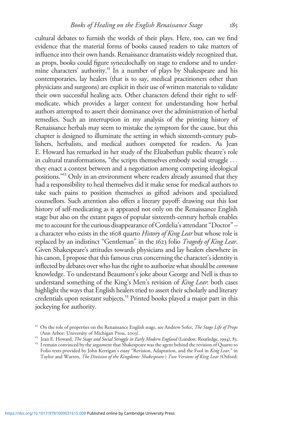cultural debates to furnish the worlds of their plays. Here, too, can we find evidence that the material forms of books caused readers to take matters of influence into their own hands. Renaissance dramatists widely recognized that, as props, books could figure synecdochally on stage to endorse and to undermine characters' authority.<sup>11</sup> In a number of plays by Shakespeare and his contemporaries, lay healers (that is to say, medical practitioners other than physicians and surgeons) are explicit in their use of written materials to validate their own successful healing acts. Other characters defend their right to selfmedicate, which provides a larger context for understanding how herbal authors attempted to assert their dominance over the administration of herbal remedies. Such an interruption in my analysis of the printing history of Renaissance herbals may seem to mistake the symptom for the cause, but this chapter is designed to illuminate the setting in which sixteenth-century publishers, herbalists, and medical authors competed for readers. As Jean E. Howard has remarked in her study of the Elizabethan public theatre's role in cultural transformations, "the scripts themselves embody social struggle ... they enact a contest between and a negotiation among competing ideological positions." <sup>12</sup> Only in an environment where readers already assumed that they had a responsibility to heal themselves did it make sense for medical authors to take such pains to position themselves as gifted advisors and specialized counsellors. Such attention also offers a literary payoff: drawing out this lost history of self-medicating as it appeared not only on the Renaissance English stage but also on the extant pages of popular sixteenth-century herbals enables me to account for the curious disappearance of Cordelia's attendant "Doctor" – a character who exists in the 1608 quarto History of King Lear but whose role is replaced by an indistinct "Gentleman" in the 1623 folio Tragedy of King Lear. Given Shakespeare's attitudes towards physicians and lay healers elsewhere in his canon, I propose that this famous crux concerning the character's identity is inflected by debates over who has the right to authorize what should be *common* knowledge. To understand Beaumont's joke about George and Nell is thus to understand something of the King's Men's revision of King Lear: both cases highlight the ways that English healers tried to assert their scholarly and literary credentials upon resistant subjects.<sup>13</sup> Printed books played a major part in this jockeying for authority.

<sup>&</sup>lt;sup>11</sup> On the role of properties on the Renaissance English stage, see Andrew Sofer, *The Stage Life of Props* (Ann Arbor: University of Michigan Press, 2003).

<sup>&</sup>lt;sup>12</sup> Jean E. Howard, *The Stage and Social Struggle in Early Modern England* (London: Routledge, 1994), 83.<br><sup>13</sup> I remain convinced by the argument that Shakespeare was the agent behind the revision of Quarto to

Folio texts provided by John Kerrigan's essay "Revision, Adaptation, and the Fool in King Lear," in Taylor and Warren, The Division of the Kingdoms: Shakespeare's Two Versions of King Lear (Oxford: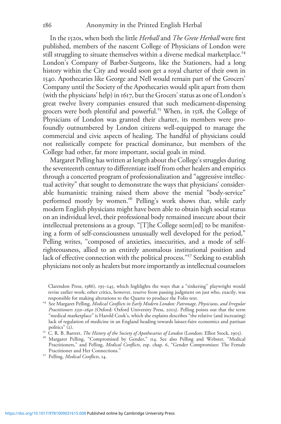In the 1520s, when both the little Herball and The Grete Herball were first published, members of the nascent College of Physicians of London were still struggling to situate themselves within a diverse medical marketplace.<sup>14</sup> London's Company of Barber-Surgeons, like the Stationers, had a long history within the City and would soon get a royal charter of their own in 1540. Apothecaries like George and Nell would remain part of the Grocers' Company until the Society of the Apothecaries would split apart from them (with the physicians' help) in 1617, but the Grocers' status as one of London's great twelve livery companies ensured that such medicament-dispensing grocers were both plentiful and powerful.<sup>15</sup> When, in 1518, the College of Physicians of London was granted their charter, its members were profoundly outnumbered by London citizens well-equipped to manage the commercial and civic aspects of healing. The handful of physicians could not realistically compete for practical dominance, but members of the College had other, far more important, social goals in mind.

Margaret Pelling has written at length about the College's struggles during the seventeenth century to differentiate itself from other healers and empirics through a concerted program of professionalization and "aggressive intellectual activity" that sought to demonstrate the ways that physicians' considerable humanistic training raised them above the menial "body-service" performed mostly by women.<sup>16</sup> Pelling's work shows that, while early modern English physicians might have been able to obtain high social status on an individual level, their professional body remained insecure about their intellectual pretensions as a group. "[T]he College seem[ed] to be manifesting a form of self-consciousness unusually well developed for the period," Pelling writes, "composed of anxieties, insecurities, and a mode of selfrighteousness, allied to an entirely anomalous institutional position and lack of effective connection with the political process."<sup>17</sup> Seeking to establish physicians not only as healers but more importantly as intellectual counselors

Clarendon Press, 1986), 195–245, which highlights the ways that a "tinkering" playwright would revise earlier work; other critics, however, reserve from passing judgment on just who, exactly, was responsible for making alterations to the Quarto to produce the Folio text.

<sup>&</sup>lt;sup>14</sup> See Margaret Pelling, Medical Conflicts in Early Modern London: Patronage, Physicians, and Irregular Practitioners 1550-1640 (Oxford: Oxford University Press, 2003). Pelling points out that the term "medical marketplace" is Harold Cook's, which she explains describes "the relative (and increasing) lack of regulation of medicine in an England heading towards laissez-faire economics and partisan

<sup>&</sup>lt;sup>15</sup> C. R. B. Barrett, *The History of the Society of Apothecaries of London* (London: Elliot Stock, 1905).<br><sup>16</sup> Margaret Pelling, "Compromised by Gender," 114. See also Pelling and Webster, "Medical Practitioners," and Pelling, Medical Conflicts, esp. chap. 6, "Gender Compromises: The Female Practitioner and Her Connections."<br><sup>17</sup> Pelling, *Medical Conflicts*, 14.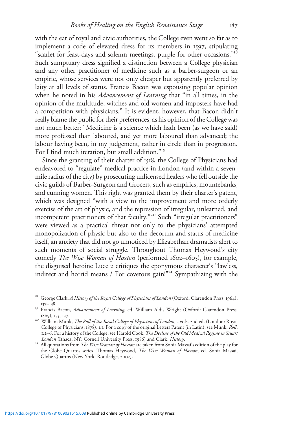with the ear of royal and civic authorities, the College even went so far as to implement a code of elevated dress for its members in 1597, stipulating "scarlet for feast-days and solemn meetings, purple for other occasions."<sup>18</sup> Such sumptuary dress signified a distinction between a College physician and any other practitioner of medicine such as a barber-surgeon or an empiric, whose services were not only cheaper but apparently preferred by laity at all levels of status. Francis Bacon was espousing popular opinion when he noted in his *Advancement of Learning* that "in all times, in the opinion of the multitude, witches and old women and imposters have had a competition with physicians." It is evident, however, that Bacon didn't really blame the public for their preferences, as his opinion of the College was not much better: "Medicine is a science which hath been (as we have said) more professed than laboured, and yet more laboured than advanced; the labour having been, in my judgement, rather in circle than in progression. For I find much iteration, but small addition."<sup>19</sup>

Since the granting of their charter of 1518, the College of Physicians had endeavored to "regulate" medical practice in London (and within a sevenmile radius of the city) by prosecuting unlicensed healers who fell outside the civic guilds of Barber-Surgeon and Grocers, such as empirics, mountebanks, and cunning women. This right was granted them by their charter's patent, which was designed "with a view to the improvement and more orderly exercise of the art of physic, and the repression of irregular, unlearned, and incompetent practitioners of that faculty." <sup>20</sup> Such "irregular practitioners" were viewed as a practical threat not only to the physicians' attempted monopolization of physic but also to the decorum and status of medicine itself, an anxiety that did not go unnoticed by Elizabethan dramatists alert to such moments of social struggle. Throughout Thomas Heywood's city comedy The Wise Woman of Hoxton (performed 1602-1603), for example, the disguised heroine Luce 2 critiques the eponymous character's "lawless, indirect and horrid means / For covetous gain!"<sup>21</sup> Sympathizing with the

<sup>&</sup>lt;sup>18</sup> George Clark, *A History of the Royal College of Physicians of London* (Oxford: Clarendon Press, 1964),  $137-138$ .

<sup>&</sup>lt;sup>19</sup> Francis Bacon, *Advancement of Learning*, ed. William Aldis Wright (Oxford: Clarendon Press, 1869), 135, 137.

<sup>&</sup>lt;sup>20</sup> William Munk, The Roll of the Royal College of Physicians of London, 3 vols. 2nd ed. (London: Royal College of Physicians, 1878), 1:1. For a copy of the original Letters Patent (in Latin), see Munk, Roll, 1:2–6. For a history of the College, see Harold Cook, *The Decline of the Old Medical Regime in Stuart*<br>*London* (Ithaca, NY: Cornell University Press, 1986) and Clark, *History*.

 $21$  All quotations from *The Wise Woman of Hoxton* are taken from Sonia Massai's edition of the play for the Globe Quartos series. Thomas Heywood, The Wise Woman of Hoxton, ed. Sonia Massai, Globe Quartos (New York: Routledge, 2002).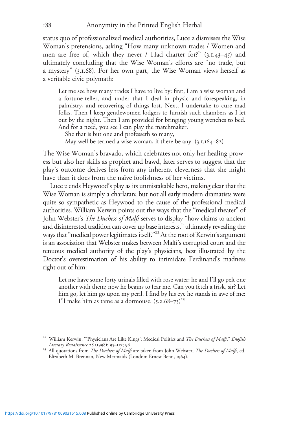status quo of professionalized medical authorities, Luce 2 dismisses the Wise Woman's pretensions, asking "How many unknown trades / Women and men are free of, which they never / Had charter for?" (3.1.43–45) and ultimately concluding that the Wise Woman's efforts are "no trade, but a mystery" (3.1.68). For her own part, the Wise Woman views herself as a veritable civic polymath:

Let me see how many trades I have to live by: first, I am a wise woman and a fortune-teller, and under that I deal in physic and forespeaking, in palmistry, and recovering of things lost. Next, I undertake to cure mad folks. Then I keep gentlewomen lodgers to furnish such chambers as I let out by the night. Then I am provided for bringing young wenches to bed. And for a need, you see I can play the matchmaker.

She that is but one and professeth so many,

May well be termed a wise woman, if there be any. (3.1.164–82)

The Wise Woman's bravado, which celebrates not only her healing prowess but also her skills as prophet and bawd, later serves to suggest that the play's outcome derives less from any inherent cleverness that she might have than it does from the naïve foolishness of her victims.

Luce 2 ends Heywood's play as its unmistakable hero, making clear that the Wise Woman is simply a charlatan; but not all early modern dramatists were quite so sympathetic as Heywood to the cause of the professional medical authorities. William Kerwin points out the ways that the "medical theater" of John Webster's The Duchess of Malfi serves to display "how claims to ancient and disinterested tradition can cover up base interests," ultimately revealing the ways that "medical power legitimates itself."<sup>22</sup> At the root of Kerwin's argument is an association that Webster makes between Malfi's corrupted court and the tenuous medical authority of the play's physicians, best illustrated by the Doctor's overestimation of his ability to intimidate Ferdinand's madness right out of him:

Let me have some forty urinals filled with rose water: he and I'll go pelt one another with them; now he begins to fear me. Can you fetch a frisk, sir? Let him go, let him go upon my peril. I find by his eye he stands in awe of me: I'll make him as tame as a dormouse.  $(5.2.68-73)^{23}$ 

<sup>&</sup>lt;sup>22</sup> William Kerwin, "'Physicians Are Like Kings': Medical Politics and The Duchess of Malfi," English

Literary Renaissance 28 (1998): 95–117; 96.<br><sup>23</sup> All quotations from *The Duchess of Malfi* are taken from John Webster, *The Duchess of Malfi*, ed. Elizabeth M. Brennan, New Mermaids (London: Ernest Benn, 1964).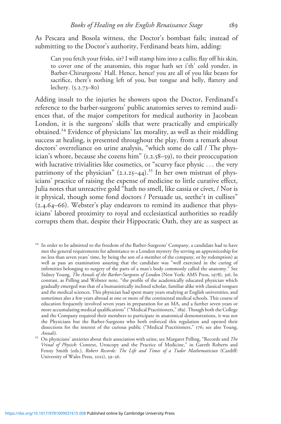As Pescara and Bosola witness, the Doctor's bombast fails; instead of submitting to the Doctor's authority, Ferdinand beats him, adding:

Can you fetch your frisks, sir? I will stamp him into a cullis; flay off his skin, to cover one of the anatomies, this rogue hath set i'th' cold yonder, in Barber-Chirurgeons' Hall. Hence, hence! you are all of you like beasts for sacrifice, there's nothing left of you, but tongue and belly, flattery and lechery. (5.2.73–80)

Adding insult to the injuries he showers upon the Doctor, Ferdinand's reference to the barber-surgeons' public anatomies serves to remind audiences that, of the major competitors for medical authority in Jacobean London, it is the surgeons' skills that were practically and empirically obtained.<sup>24</sup> Evidence of physicians' lax morality, as well as their middling success at healing, is presented throughout the play, from a remark about doctors' overreliance on urine analysis, "which some do call / The physician's whore, because she cozens him" (1.2.58–59), to their preoccupation with lucrative trivialities like cosmetics, or "scurvy face physic . . . the very patrimony of the physician"  $(2.1.25-44).^{25}$  In her own mistrust of physicians' practice of raising the expense of medicine to little curative effect, Julia notes that unreactive gold "hath no smell, like cassia or civet, / Nor is it physical, though some fond doctors / Persuade us, seethe't in cullises" (2.4.64–66). Webster's play endeavors to remind its audience that physicians' labored proximity to royal and ecclesiastical authorities so readily corrupts them that, despite their Hippocratic Oath, they are as suspect as

<sup>&</sup>lt;sup>24</sup> In order to be admitted to the freedom of the Barber-Surgeons' Company, a candidate had to have met the general requirements for admittance to a London mystery (by serving an apprenticeship for no less than seven years' time, by being the son of a member of the company, or by redemption) as well as pass an examination assuring that the candidate was "well exercised in the curing of infirmities belonging to surgery of the parts of a man's body commonly called the anatomy." See Sidney Young, The Annals of the Barber-Surgeons of London (New York: AMS Press, 1978), 316. In contrast, as Pelling and Webster note, "the profile of the academically educated physician which gradually emerged was that of a humanistically inclined scholar, familiar alike with classical tongues and the medical sciences. This physician had spent many years studying at English universities, and sometimes also a few years abroad at one or more of the continental medical schools. This course of education frequently involved seven years in preparation for an MA, and a further seven years or more accumulating medical qualifications" ("Medical Practitioners," 189). Though both the College and the Company required their members to participate in anatomical demonstrations, it was not the Physicians but the Barber-Surgeons who both enforced this regulation and opened their dissections for the interest of the curious public ("Medical Practitioners," 176; see also Young, Annals).

<sup>&</sup>lt;sup>25</sup> On physicians' anxieties about their association with urine, see Margaret Pelling, "Recorde and *The* Vrinal of Physick: Context, Uroscopy and the Practice of Medicine," in Gareth Roberts and Fenny Smith (eds.), Robert Recorde: The Life and Times of a Tudor Mathematician (Cardiff: University of Wales Press, 2012), 39–56.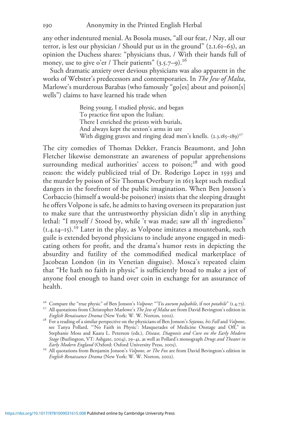any other indentured menial. As Bosola muses, "all our fear, / Nay, all our terror, is lest our physician / Should put us in the ground"  $(2.1.61-63)$ , an opinion the Duchess shares: "physicians thus, / With their hands full of money, use to give o'er / Their patients"  $(3.5.7-9).^{26}$ 

Such dramatic anxiety over devious physicians was also apparent in the works of Webster's predecessors and contemporaries. In The Jew of Malta, Marlowe's murderous Barabas (who famously "go[es] about and poison[s] wells") claims to have learned his trade when

> Being young, I studied physic, and began To practice first upon the Italian; There I enriched the priests with burials, And always kept the sexton's arms in ure With digging graves and ringing dead men's knells. (2.3.185-189)<sup>27</sup>

The city comedies of Thomas Dekker, Francis Beaumont, and John Fletcher likewise demonstrate an awareness of popular apprehensions surrounding medical authorities' access to poison; $28$  and with good reason: the widely publicized trial of Dr. Roderigo Lopez in 1593 and the murder by poison of Sir Thomas Overbury in 1613 kept such medical dangers in the forefront of the public imagination. When Ben Jonson's Corbaccio (himself a would-be poisoner) insists that the sleeping draught he offers Volpone is safe, he admits to having overseen its preparation just to make sure that the untrustworthy physician didn't slip in anything lethal: "I myself / Stood by, while 't was made; saw all th' ingredients"  $(1.4.14-15).^{29}$  Later in the play, as Volpone imitates a mountebank, such guile is extended beyond physicians to include anyone engaged in medicating others for profit, and the drama's humor rests in depicting the absurdity and futility of the commodified medical marketplace of Jacobean London (in its Venetian disguise). Mosca's repeated claim that "He hath no faith in physic" is sufficiently broad to make a jest of anyone fool enough to hand over coin in exchange for an assurance of health.

<sup>&</sup>lt;sup>26</sup> Compare the "true physic" of Ben Jonson's *Volpone:* "'Tis *aurum palpabile*, if not *potabile*" (1.4.73).<br><sup>27</sup> All quotations from Christopher Marlowe's *The Jew of Malta* are from David Bevington's edition in *Engl* 

English Renaissance Drama (New York: W. W. Norton, <sup>2002</sup>). <sup>28</sup> For a reading of a similar perspective on the physicians of Ben Jonson'<sup>s</sup> Sejanus, his Fall and Volpone, see Tanya Pollard, "'No Faith in Physic': Masquerades of Medicine Onstage and Off," in Stephanie Moss and Kaara L. Peterson (eds.), Disease, Diagnosis and Cure on the Early Modern Stage (Burlington, VT: Ashgate, 2004), 29–41, as well as Pollard's monograph Drugs and Theater in

Early Modern England (Oxford: Oxford University Press, 2005).<br><sup>29</sup> All quotations from Benjamin Jonson's *Volpone, or The Fox* are from David Bevington's edition in English Renaissance Drama (New York: W. W. Norton, 2002).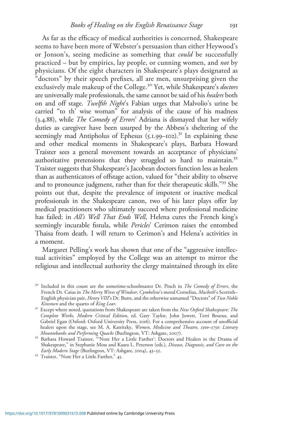As far as the efficacy of medical authorities is concerned, Shakespeare seems to have been more of Webster's persuasion than either Heywood's or Jonson's, seeing medicine as something that *could* be successfully practiced – but by empirics, lay people, or cunning women, and not by physicians. Of the eight characters in Shakespeare's plays designated as "doctors" by their speech prefixes, all are men, unsurprising given the exclusively male makeup of the College.<sup>30</sup> Yet, while Shakespeare's *doctors* are universally male professionals, the same cannot be said of his *healers* both on and off stage. Twelfth Night's Fabian urges that Malvolio's urine be carried "to th' wise woman" for analysis of the cause of his madness (3.4.88), while The Comedy of Errors' Adriana is dismayed that her wifely duties as caregiver have been usurped by the Abbess's sheltering of the seemingly mad Antipholus of Ephesus  $(5.1.99-102).$ <sup>31</sup> In explaining these and other medical moments in Shakespeare's plays, Barbara Howard Traister sees a general movement towards an acceptance of physicians' authoritative pretensions that they struggled so hard to maintain.<sup>32</sup> Traister suggests that Shakespeare's Jacobean doctors function less as healers than as authenticators of offstage action, valued for "their ability to observe and to pronounce judgment, rather than for their therapeutic skills."33 She points out that, despite the prevalence of impotent or inactive medical professionals in the Shakespeare canon, two of his later plays offer lay medical practitioners who ultimately succeed where professional medicine has failed: in All's Well That Ends Well, Helena cures the French king's seemingly incurable fistula, while *Pericles*' Cerimon raises the entombed Thaisa from death. I will return to Cerimon's and Helena's activities in a moment.

Margaret Pelling's work has shown that one of the "aggressive intellectual activities" employed by the College was an attempt to mirror the religious and intellectual authority the clergy maintained through its elite

<sup>&</sup>lt;sup>30</sup> Included in this count are the sometime-schoolmaster Dr. Pinch in *The Comedy of Errors*, the French Dr. Caius in The Merry Wives of Windsor, Cymbeline's moral Cornelius, Macbeth's Scottish– English physician pair, *Henry VIII*'s Dr. Butts, and the otherwise unnamed "Doctors" of Two Noble<br>Kinsmen and the quarto of King Lear.

<sup>&</sup>lt;sup>31</sup> Except where noted, quotations from Shakespeare are taken from the New Oxford Shakespeare: The Complete Works, Modern Critical Edition, ed. Gary Taylor, John Jowett, Terri Bourus, and Gabriel Egan (Oxford: Oxford University Press, 2016). For a comprehensive account of unofficial healers upon the stage, see M. A. Katritzky, Women, Medicine and Theatre, 1500-1750: Literary<br>Mountebanks and Performing Quacks (Burlington, VT: Ashgate, 2007).

<sup>&</sup>lt;sup>32</sup> Barbara Howard Traister, "'Note Her a Little Farther': Doctors and Healers in the Drama of Shakespeare," in Stephanie Moss and Kaara L. Peterson (eds.), Disease, Diagnosis, and Cure on the Early Modern Stage (Burlington, VT: Ashgate, <sup>2004</sup>), <sup>43</sup>–52. <sup>33</sup> Traister, "Note Her a Little Farther," <sup>45</sup>.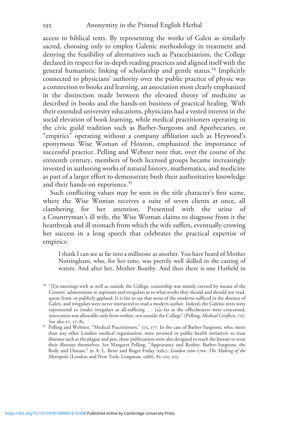access to biblical texts. By representing the works of Galen as similarly sacred, choosing only to employ Galenic methodology in treatment and denying the feasibility of alternatives such as Paracelsianism, the College declared its respect for in-depth reading practices and aligned itself with the general humanistic linking of scholarship and gentle status.<sup>34</sup> Implicitly connected to physicians' authority over the public practice of physic was a connection to books and learning, an association most clearly emphasized in the distinction made between the elevated theory of medicine as described in books and the hands-on business of practical healing. With their extended university educations, physicians had a vested interest in the social elevation of book learning, while medical practitioners operating in the civic guild tradition such as Barber-Surgeons and Apothecaries, or "empirics" operating without a company affiliation such as Heywood's eponymous Wise Woman of Hoxton, emphasized the importance of successful practice. Pelling and Webster note that, over the course of the sixteenth century, members of both licensed groups became increasingly invested in authoring works of natural history, mathematics, and medicine as part of a larger effort to demonstrate both their authoritative knowledge and their hands-on experience.<sup>35</sup>

Such conflicting values may be seen in the title character's first scene, where the Wise Woman receives a suite of seven clients at once, all clambering for her attention. Presented with the urine of a Countryman's ill wife, the Wise Woman claims to diagnose from it the heartbreak and ill stomach from which the wife suffers, eventually crowing her success in a long speech that celebrates the practical expertise of empirics:

I think I can see as far into a millstone as another. You have heard of Mother Nottingham, who, for her time, was prettily well skilled in the casting of waters. And after her, Mother Bomby. And then there is one Hatfield in

<sup>34</sup> "[I]n meetings with as well as outside the College, censorship was mainly exerted by means of the Censors' admonitions to aspirants and irregulars as to what works they should and should not read, quote from, or publicly applaud. It is fair to say that none of the moderns sufficed in the absence of Galen, and irregulars were never instructed to read a modern author. Indeed, the Galenic texts were represented to (male) irregulars as all-sufficing ... [a]s far as the officebearers were concerned, innovation was allowable only from within, not outside the College" (Pelling, *Medical Conflicts*, 70).<br>See also 17, 57–83.

<sup>&</sup>lt;sup>35</sup> Pelling and Webster, "Medical Practitioners," 172, 177. In the case of Barber-Surgeons, who, more than any other London medical organization, were invested in public health initiatives to treat illnesses such as the plague and pox, these publications were also designed to teach the literate to treat their illnesses themselves. See Margaret Pelling, "Appearance and Reality: Barber-Surgeons, the Body and Disease," in A. L. Beier and Roger Finlay (eds.), London 1500-1700: The Making of the Metropolis (London and New York: Longman, 1986), 82–112; 103.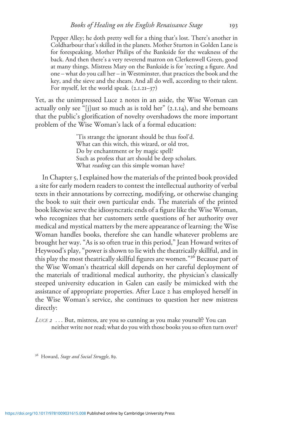Pepper Alley; he doth pretty well for a thing that's lost. There's another in Coldharbour that's skilled in the planets. Mother Sturton in Golden Lane is for forespeaking. Mother Philips of the Bankside for the weakness of the back. And then there's a very reverend matron on Clerkenwell Green, good at many things. Mistress Mary on the Bankside is for 'recting a figure. And one – what do you call her – in Westminster, that practices the book and the key, and the sieve and the shears. And all do well, according to their talent. For myself, let the world speak. (2.1.21–37)

Yet, as the unimpressed Luce 2 notes in an aside, the Wise Woman can actually only see "[j]ust so much as is told her" (2.1.14), and she bemoans that the public's glorification of novelty overshadows the more important problem of the Wise Woman's lack of a formal education:

> 'Tis strange the ignorant should be thus fool'd. What can this witch, this wizard, or old trot, Do by enchantment or by magic spell? Such as profess that art should be deep scholars. What *reading* can this simple woman have?

In Chapter 5, I explained how the materials of the printed book provided a site for early modern readers to contest the intellectual authority of verbal texts in their annotations by correcting, modifying, or otherwise changing the book to suit their own particular ends. The materials of the printed book likewise serve the idiosyncratic ends of a figure like the Wise Woman, who recognizes that her customers settle questions of her authority over medical and mystical matters by the mere appearance of learning: the Wise Woman handles books, therefore she can handle whatever problems are brought her way. "As is so often true in this period," Jean Howard writes of Heywood's play, "power is shown to lie with the theatrically skillful, and in this play the most theatrically skillful figures are women." <sup>36</sup> Because part of the Wise Woman's theatrical skill depends on her careful deployment of the materials of traditional medical authority, the physician's classically steeped university education in Galen can easily be mimicked with the assistance of appropriate properties. After Luce 2 has employed herself in the Wise Woman's service, she continues to question her new mistress directly:

*LUCE 2* ... But, mistress, are you so cunning as you make yourself? You can neither write nor read; what do you with those books you so often turn over?

<sup>36</sup> Howard, Stage and Social Struggle, 89.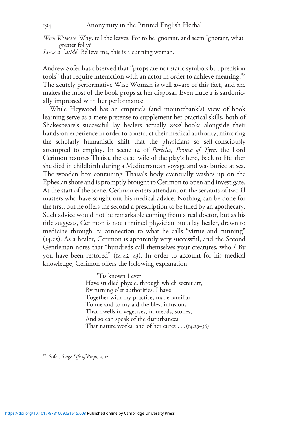- WISE WOMAN Why, tell the leaves. For to be ignorant, and seem Ignorant, what greater folly?
- LUCE 2 [aside] Believe me, this is a cunning woman.

Andrew Sofer has observed that "props are not static symbols but precision tools" that require interaction with an actor in order to achieve meaning.<sup>37</sup> The acutely performative Wise Woman is well aware of this fact, and she makes the most of the book props at her disposal. Even Luce 2 is sardonically impressed with her performance.

While Heywood has an empiric's (and mountebank's) view of book learning serve as a mere pretense to supplement her practical skills, both of Shakespeare's successful lay healers actually *read* books alongside their hands-on experience in order to construct their medical authority, mirroring the scholarly humanistic shift that the physicians so self-consciously attempted to employ. In scene 14 of Pericles, Prince of Tyre, the Lord Cerimon restores Thaisa, the dead wife of the play's hero, back to life after she died in childbirth during a Mediterranean voyage and was buried at sea. The wooden box containing Thaisa's body eventually washes up on the Ephesian shore and is promptly brought to Cerimon to open and investigate. At the start of the scene, Cerimon enters attendant on the servants of two ill masters who have sought out his medical advice. Nothing can be done for the first, but he offers the second a prescription to be filled by an apothecary. Such advice would not be remarkable coming from a real doctor, but as his title suggests, Cerimon is not a trained physician but a lay healer, drawn to medicine through its connection to what he calls "virtue and cunning" (14.25). As a healer, Cerimon is apparently very successful, and the Second Gentleman notes that "hundreds call themselves your creatures, who / By you have been restored" (14.42–43). In order to account for his medical knowledge, Cerimon offers the following explanation:

> 'Tis known I ever Have studied physic, through which secret art, By turning o'er authorities, I have Together with my practice, made familiar To me and to my aid the blest infusions That dwells in vegetives, in metals, stones, And so can speak of the disturbances That nature works, and of her cures  $\dots$  (14.29–36)

<sup>37</sup> Sofer, Stage Life of Props, 3, 12.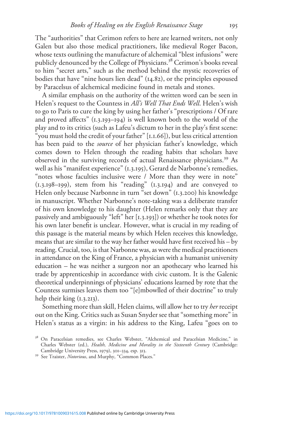The "authorities" that Cerimon refers to here are learned writers, not only Galen but also those medical practitioners, like medieval Roger Bacon, whose texts outlining the manufacture of alchemical "blest infusions" were publicly denounced by the College of Physicians.<sup>38</sup> Cerimon's books reveal to him "secret arts," such as the method behind the mystic recoveries of bodies that have "nine hours lien dead" (14.82), or the principles espoused by Paracelsus of alchemical medicine found in metals and stones.

A similar emphasis on the authority of the written word can be seen in Helen's request to the Countess in All's Well That Ends Well. Helen's wish to go to Paris to cure the king by using her father's "prescriptions / Of rare and proved affects" (1.3.193–194) is well known both to the world of the play and to its critics (such as Lafeu's dictum to her in the play's first scene: "you must hold the credit of your father" [1.1.66]), but less critical attention has been paid to the source of her physician father's knowledge, which comes down to Helen through the reading habits that scholars have observed in the surviving records of actual Renaissance physicians.<sup>39</sup> As well as his "manifest experience" (1.3.195), Gerard de Narbonne's remedies, "notes whose faculties inclusive were / More than they were in note"  $(1,3.198-199)$ , stem from his "reading"  $(1,3.194)$  and are conveyed to Helen only because Narbonne in turn "set down" (1.3.200) his knowledge in manuscript. Whether Narbonne's note-taking was a deliberate transfer of his own knowledge to his daughter (Helen remarks only that they are passively and ambiguously "left" her [1.3.193]) or whether he took notes for his own later benefit is unclear. However, what is crucial in my reading of this passage is the material means by which Helen receives this knowledge, means that are similar to the way her father would have first received his – by reading. Crucial, too, is that Narbonne was, as were the medical practitioners in attendance on the King of France, a physician with a humanist university education – he was neither a surgeon nor an apothecary who learned his trade by apprenticeship in accordance with civic custom. It is the Galenic theoretical underpinnings of physicians' educations learned by rote that the Countess surmises leaves them too "[e]mbowlled of their doctrine" to truly help their king  $(1,3.213)$ .

Something more than skill, Helen claims, will allow her to try her receipt out on the King. Critics such as Susan Snyder see that "something more" in Helen's status as a virgin: in his address to the King, Lafeu "goes on to

<sup>&</sup>lt;sup>38</sup> On Paracelsian remedies, see Charles Webster, "Alchemical and Paracelsian Medicine," in Charles Webster (ed.), *Health, Medicine and Morality in the Sixteenth Century* (Cambridge: Cambridge University Press, 1979), 301–334, esp. 313.

<sup>&</sup>lt;sup>39</sup> See Traister, Notorious, and Murphy, "Common Places."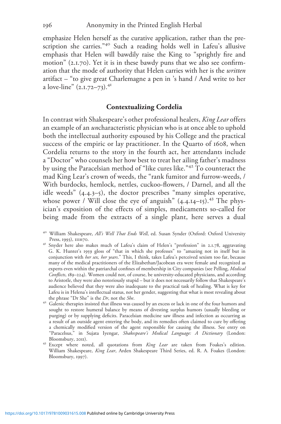emphasize Helen herself as the curative application, rather than the prescription she carries."<sup>40</sup> Such a reading holds well in Lafeu's allusive emphasis that Helen will bawdily raise the King to "sprightly fire and motion" (2.1.70). Yet it is in these bawdy puns that we also see confirmation that the mode of authority that Helen carries with her is the *written* artifact – "to give great Charlemagne a pen in 's hand / And write to her a love-line"  $(2.1.72-73).$ <sup>41</sup>

## Contextualizing Cordelia

In contrast with Shakespeare's other professional healers, King Lear offers an example of an *un*characteristic physician who is at once able to uphold both the intellectual authority espoused by his College and the practical success of the empiric or lay practitioner. In the Quarto of 1608, when Cordelia returns to the story in the fourth act, her attendants include a "Doctor" who counsels her how best to treat her ailing father's madness by using the Paracelsian method of "like cures like." <sup>42</sup> To counteract the mad King Lear's crown of weeds, the "rank fumitor and furrow-weeds, / With burdocks, hemlock, nettles, cuckoo-flowers, / Darnel, and all the idle weeds" (4.4.3–5), the doctor prescribes "many simples operative, whose power / Will close the eye of anguish"  $(4.4.14-15)$ .<sup>43</sup> The physician's exposition of the effects of simples, medicaments so-called for being made from the extracts of a single plant, here serves a dual

<sup>&</sup>lt;sup>40</sup> William Shakespeare, *All's Well That Ends Well*, ed. Susan Synder (Oxford: Oxford University Press, 1993),  $\mu$ 11170.

Press, <sup>1993</sup>), <sup>111</sup>n70. <sup>41</sup> Snyder here also makes much of Lafeu's claim of Helen'<sup>s</sup> "profession" in <sup>2</sup>.1.78, aggravating G. K. Hunter's 1959 gloss of "that in which she professes" to "amazing not in itself but in conjunction with *her sex, her years.*" This, I think, takes Lafeu's perceived sexism too far, because many of the medical practitioners of the Elizabethan/Jacobean era were female and recognized as experts even within the patriarchal confines of membership in City companies (see Pelling, Medical Conflicts, 189-224). Women could not, of course, be university-educated physicians, and according to Aristotle, they were also notoriously stupid – but it does not necessarily follow that Shakespeare's audience believed that they were also inadequate to the practical task of healing. What is key for Lafeu is in Helena's intellectual status, not her gender, suggesting that what is most revealing about the phrase "Dr She" is the  $Dr$ , not the She.

<sup>&</sup>lt;sup>42</sup> Galenic therapies insisted that illness was caused by an excess or lack in one of the four humors and sought to restore humeral balance by means of divesting surplus humors (usually bleeding or purging) or by supplying deficits. Paracelsian medicine saw illness and infection as occurring as a result of an outside agent entering the body, and its remedies often claimed to cure by offering a chemically modified version of the agent responsible for causing the illness. See entry on "Paracelsus," in Sujata Iyengar, Shakespeare's Medical Language: A Dictionary (London: Bloomsbury, 2011).

<sup>&</sup>lt;sup>43</sup> Except where noted, all quotations from King Lear are taken from Foakes's edition. William Shakespeare, King Lear, Arden Shakespeare Third Series, ed. R. A. Foakes (London: Bloomsbury, 1997).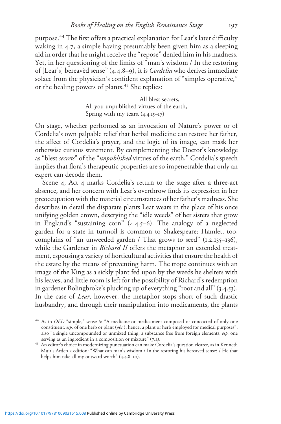purpose.<sup>44</sup> The first offers a practical explanation for Lear's later difficulty waking in 4.7, a simple having presumably been given him as a sleeping aid in order that he might receive the "repose" denied him in his madness. Yet, in her questioning of the limits of "man's wisdom / In the restoring of [Lear's] bereavèd sense" (4.4.8–9), it is Cordelia who derives immediate solace from the physician's confident explanation of "simples operative," or the healing powers of plants.<sup>45</sup> She replies:

> All blest secrets, All you unpublished virtues of the earth, Spring with my tears. (4.4.15–17)

On stage, whether performed as an invocation of Nature's power or of Cordelia's own palpable relief that herbal medicine can restore her father, the affect of Cordelia's prayer, and the logic of its image, can mask her otherwise curious statement. By complementing the Doctor's knowledge as "blest secrets" of the "unpublished virtues of the earth," Cordelia's speech implies that flora's therapeutic properties are so impenetrable that only an expert can decode them.

Scene 4, Act 4 marks Cordelia's return to the stage after a three-act absence, and her concern with Lear's overthrow finds its expression in her preoccupation with the material circumstances of her father's madness. She describes in detail the disparate plants Lear wears in the place of his once unifying golden crown, descrying the "idle weeds" of her sisters that grow in England's "sustaining corn" (4.4.5–6). The analogy of a neglected garden for a state in turmoil is common to Shakespeare; Hamlet, too, complains of "an unweeded garden / That grows to seed" (1.2.135–136), while the Gardener in *Richard II* offers the metaphor an extended treatment, espousing a variety of horticultural activities that ensure the health of the estate by the means of preventing harm. The trope continues with an image of the King as a sickly plant fed upon by the weeds he shelters with his leaves, and little room is left for the possibility of Richard's redemption in gardener Bolingbroke's plucking up of everything "root and all" (3.4.53). In the case of Lear, however, the metaphor stops short of such drastic husbandry, and through their manipulation into medicaments, the plants

<sup>44</sup> As in OED "simple," sense 6: "A medicine or medicament composed or concocted of only one constituent, esp. of one herb or plant (obs.); hence, a plant or herb employed for medical purposes"; also "a single uncompounded or unmixed thing; a substance free from foreign elements,  $e^{sp}$  one serving as an ingredient in a composition or mixture"  $(7.a)$ .

<sup>&</sup>lt;sup>45</sup> An editor's choice in modernizing punctuation can make Cordelia's question clearer, as in Kenneth Muir's Arden 2 edition: "What can man's wisdom / In the restoring his bereaved sense? / He that helps him take all my outward worth" (4.4.8–10).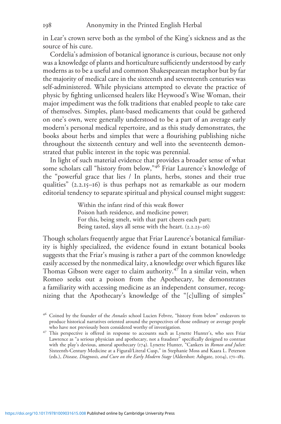in Lear's crown serve both as the symbol of the King's sickness and as the source of his cure.

Cordelia's admission of botanical ignorance is curious, because not only was a knowledge of plants and horticulture sufficiently understood by early moderns as to be a useful and common Shakespearean metaphor but by far the majority of medical care in the sixteenth and seventeenth centuries was self-administered. While physicians attempted to elevate the practice of physic by fighting unlicensed healers like Heywood's Wise Woman, their major impediment was the folk traditions that enabled people to take care of themselves. Simples, plant-based medicaments that could be gathered on one's own, were generally understood to be a part of an average early modern's personal medical repertoire, and as this study demonstrates, the books about herbs and simples that were a flourishing publishing niche throughout the sixteenth century and well into the seventeenth demonstrated that public interest in the topic was perennial.

In light of such material evidence that provides a broader sense of what some scholars call "history from below," <sup>46</sup> Friar Laurence's knowledge of the "powerful grace that lies / In plants, herbs, stones and their true qualities" (2.2.15–16) is thus perhaps not as remarkable as our modern editorial tendency to separate spiritual and physical counsel might suggest:

> Within the infant rind of this weak flower Poison hath residence, and medicine power; For this, being smelt, with that part cheers each part; Being tasted, slays all sense with the heart. (2.2.23–26)

Though scholars frequently argue that Friar Laurence's botanical familiarity is highly specialized, the evidence found in extant botanical books suggests that the Friar's musing is rather a part of the common knowledge easily accessed by the nonmedical laity, a knowledge over which figures like Thomas Gibson were eager to claim authority.<sup>47</sup> In a similar vein, when Romeo seeks out a poison from the Apothecary, he demonstrates a familiarity with accessing medicine as an independent consumer, recognizing that the Apothecary's knowledge of the "[c]ulling of simples"

<sup>&</sup>lt;sup>46</sup> Coined by the founder of the Annales school Lucien Febvre, "history from below" endeavors to produce historical narratives oriented around the perspectives of those ordinary or average people

<sup>&</sup>lt;sup>47</sup> This perspective is offered in response to accounts such as Lynette Hunter's, who sees Friar Lawrence as "a serious physician and apothecary, not a fraudster" specifically designed to contrast with the play's devious, amoral apothecary (174). Lynette Hunter, "Cankers in Romeo and Juliet: Sixteenth-Century Medicine at a Figural/Literal Cusp," in Stephanie Moss and Kaara L. Peterson (eds.), Disease, Diagnosis, and Cure on the Early Modern Stage (Aldershot: Ashgate, 2004), 171-185.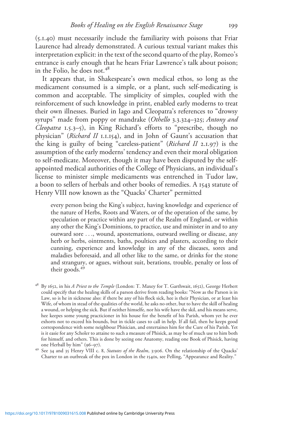(5.1.40) must necessarily include the familiarity with poisons that Friar Laurence had already demonstrated. A curious textual variant makes this interpretation explicit: in the text of the second quarto of the play, Romeo's entrance is early enough that he hears Friar Lawrence's talk about poison; in the Folio, he does not.<sup>48</sup>

It appears that, in Shakespeare's own medical ethos, so long as the medicament consumed is a simple, or a plant, such self-medicating is common and acceptable. The simplicity of simples, coupled with the reinforcement of such knowledge in print, enabled early moderns to treat their own illnesses. Buried in Iago and Cleopatra's references to "drowsy syrups" made from poppy or mandrake (Othello 3.3.324–325; Antony and Cleopatra 1.5.3–5), in King Richard's efforts to "prescribe, though no physician" (Richard II 1.1.154), and in John of Gaunt's accusation that the king is guilty of being "careless-patient" (Richard II 2.1.97) is the assumption of the early moderns' tendency and even their moral obligation to self-medicate. Moreover, though it may have been disputed by the selfappointed medical authorities of the College of Physicians, an individual's license to minister simple medicaments was entrenched in Tudor law, a boon to sellers of herbals and other books of remedies. A 1543 statute of Henry VIII now known as the "Quacks' Charter" permitted

every person being the King's subject, having knowledge and experience of the nature of Herbs, Roots and Waters, or of the operation of the same, by speculation or practice within any part of the Realm of England, or within any other the King's Dominions, to practice, use and minister in and to any outward sore ..., wound, apostemations, outward swelling or disease, any herb or herbs, ointments, baths, poultices and plasters, according to their cunning, experience and knowledge in any of the diseases, sores and maladies beforesaid, and all other like to the same, or drinks for the stone and strangury, or agues, without suit, berations, trouble, penalty or loss of their goods.<sup>49</sup>

<sup>48</sup> By 1652, in his A Priest to the Temple (London: T. Maxey for T. Garthwait, 1652), George Herbert could specify that the healing skills of a parson derive from reading books: "Now as the Parson is in Law, so is he in sicknesse also: if there be any of his flock sick, hee is their Physician, or at least his Wife, of whom in stead of the qualities of the world, he asks no other, but to have the skill of healing a wound, or helping the sick. But if neither himselfe, nor his wife have the skil, and his means serve, hee keepes some young practicioner in his house for the benefit of his Parish, whom yet he ever exhorts not to exceed his bounds, but in tickle cases to call in help. If all fail, then he keeps good correspondence with some neighbour Phisician, and entertaines him for the Cure of his Parish. Yet is it easie for any Scholer to attaine to such a measure of Phisick, as may be of much use to him both for himself, and others. This is done by seeing one Anatomy, reading one Book of Phisick, having one Herball by him" (96–97).<br><sup>49</sup> See 34 and 35 Henry VIII c. 8, Statutes of the Realm, 3:906. On the relationship of the Quacks'

Charter to an outbreak of the pox in London in the 1540s, see Pelling, "Appearance and Reality."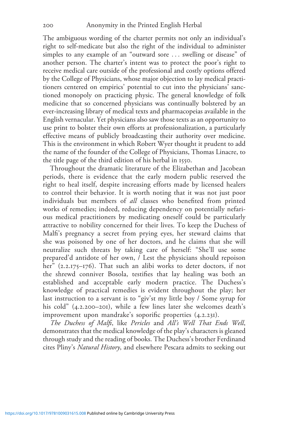The ambiguous wording of the charter permits not only an individual's right to self-medicate but also the right of the individual to administer simples to any example of an "outward sore ... swelling or disease" of another person. The charter's intent was to protect the poor's right to receive medical care outside of the professional and costly options offered by the College of Physicians, whose major objection to lay medical practitioners centered on empirics' potential to cut into the physicians' sanctioned monopoly on practicing physic. The general knowledge of folk medicine that so concerned physicians was continually bolstered by an ever-increasing library of medical texts and pharmacopeias available in the English vernacular. Yet physicians also saw those texts as an opportunity to use print to bolster their own efforts at professionalization, a particularly effective means of publicly broadcasting their authority over medicine. This is the environment in which Robert Wyer thought it prudent to add the name of the founder of the College of Physicians, Thomas Linacre, to the title page of the third edition of his herbal in 1550.

Throughout the dramatic literature of the Elizabethan and Jacobean periods, there is evidence that the early modern public reserved the right to heal itself, despite increasing efforts made by licensed healers to control their behavior. It is worth noting that it was not just poor individuals but members of all classes who benefited from printed works of remedies; indeed, reducing dependency on potentially nefarious medical practitioners by medicating oneself could be particularly attractive to nobility concerned for their lives. To keep the Duchess of Malfi's pregnancy a secret from prying eyes, her steward claims that she was poisoned by one of her doctors, and he claims that she will neutralize such threats by taking care of herself: "She'll use some prepared'd antidote of her own, / Lest the physicians should repoison her" (2.2.175–176). That such an alibi works to deter doctors, if not the shrewd conniver Bosola, testifies that lay healing was both an established and acceptable early modern practice. The Duchess's knowledge of practical remedies is evident throughout the play; her last instruction to a servant is to "giv'st my little boy / Some syrup for his cold" (4.2.200–201), while a few lines later she welcomes death's improvement upon mandrake's soporific properties (4.2.231).

The Duchess of Malfi, like Pericles and All's Well That Ends Well, demonstrates that the medical knowledge of the play's characters is gleaned through study and the reading of books. The Duchess's brother Ferdinand cites Pliny's Natural History, and elsewhere Pescara admits to seeking out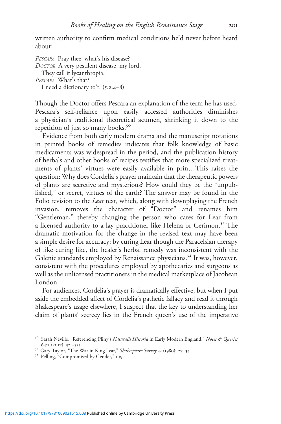written authority to confirm medical conditions he'd never before heard about:

PESCARA Pray thee, what's his disease? DOCTOR A very pestilent disease, my lord, They call it lycanthropia. PESCARA What's that? I need a dictionary to't. (5.2.4–8)

Though the Doctor offers Pescara an explanation of the term he has used, Pescara's self-reliance upon easily accessed authorities diminishes a physician's traditional theoretical acumen, shrinking it down to the repetition of just so many books.<sup>50</sup>

Evidence from both early modern drama and the manuscript notations in printed books of remedies indicates that folk knowledge of basic medicaments was widespread in the period, and the publication history of herbals and other books of recipes testifies that more specialized treatments of plants' virtues were easily available in print. This raises the question: Why does Cordelia's prayer maintain that the therapeutic powers of plants are secretive and mysterious? How could they be the "unpublished," or secret, virtues of the earth? The answer may be found in the Folio revision to the Lear text, which, along with downplaying the French invasion, removes the character of "Doctor" and renames him "Gentleman," thereby changing the person who cares for Lear from a licensed authority to a lay practitioner like Helena or Cerimon.<sup>51</sup> The dramatic motivation for the change in the revised text may have been a simple desire for accuracy: by curing Lear though the Paracelsian therapy of like curing like, the healer's herbal remedy was inconsistent with the Galenic standards employed by Renaissance physicians.<sup>52</sup> It was, however, consistent with the procedures employed by apothecaries and surgeons as well as the unlicensed practitioners in the medical marketplace of Jacobean London.

For audiences, Cordelia's prayer is dramatically effective; but when I put aside the embedded affect of Cordelia's pathetic fallacy and read it through Shakespeare's usage elsewhere, I suspect that the key to understanding her claim of plants' secrecy lies in the French queen's use of the imperative

<sup>&</sup>lt;sup>50</sup> Sarah Neville, "Referencing Pliny's Naturalis Historia in Early Modern England." Notes & Queries 64:2 (2017): 321–325.<br><sup>51</sup> Gary Taylor, "The War in King Lear," *Shakespeare Survey* 33 (1980): 27–34.<br><sup>52</sup> Pelling, "Compromised by Gender," 109.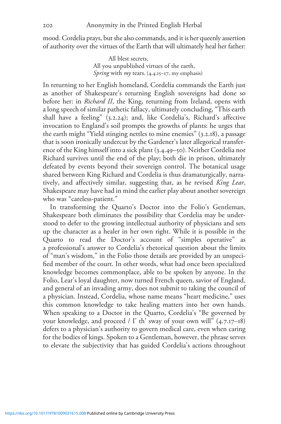mood. Cordelia prays, but she also commands, and it is her queenly assertion of authority over the virtues of the Earth that will ultimately heal her father:

> All blest secrets, All you unpublished virtues of the earth, Spring with  $my$  tears. (4.4.15–17, my emphasis)

In returning to her English homeland, Cordelia commands the Earth just as another of Shakespeare's returning English sovereigns had done so before her: in *Richard II*, the King, returning from Ireland, opens with a long speech of similar pathetic fallacy, ultimately concluding, "This earth shall have a feeling" (3.2.24); and, like Cordelia's, Richard's affective invocation to England's soil prompts the growths of plants: he urges that the earth might "Yield stinging nettles to mine enemies" (3.2.18), a passage that is soon ironically undercut by the Gardener's later allegorical transference of the King himself into a sick plant (3.4.49–50). Neither Cordelia nor Richard survives until the end of the play; both die in prison, ultimately defeated by events beyond their sovereign control. The botanical usage shared between King Richard and Cordelia is thus dramaturgically, narratively, and affectively similar, suggesting that, as he revised King Lear, Shakespeare may have had in mind the earlier play about another sovereign who was "careless-patient."

In transforming the Quarto's Doctor into the Folio's Gentleman, Shakespeare both eliminates the possibility that Cordelia may be understood to defer to the growing intellectual authority of physicians and sets up the character as a healer in her own right. While it is possible in the Quarto to read the Doctor's account of "simples operative" as a professional's answer to Cordelia's rhetorical question about the limits of "man's wisdom," in the Folio those details are provided by an unspecified member of the court. In other words, what had once been specialized knowledge becomes commonplace, able to be spoken by anyone. In the Folio, Lear's loyal daughter, now turned French queen, savior of England, and general of an invading army, does not submit to taking the council of a physician. Instead, Cordelia, whose name means "heart medicine," uses this common knowledge to take healing matters into her own hands. When speaking to a Doctor in the Quarto, Cordelia's "Be governed by your knowledge, and proceed / I' th' sway of your own will<sup>"</sup>  $(4.7.17-18)$ defers to a physician's authority to govern medical care, even when caring for the bodies of kings. Spoken to a Gentleman, however, the phrase serves to elevate the subjectivity that has guided Cordelia's actions throughout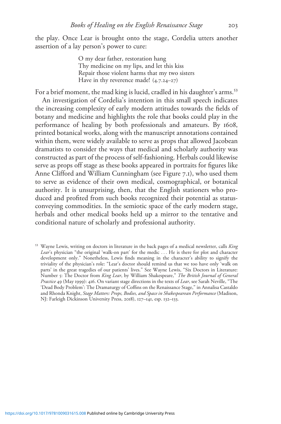the play. Once Lear is brought onto the stage, Cordelia utters another assertion of a lay person's power to cure:

> O my dear father, restoration hang Thy medicine on my lips, and let this kiss Repair those violent harms that my two sisters Have in thy reverence made! (4.7.24–27)

For a brief moment, the mad king is lucid, cradled in his daughter's arms.<sup>53</sup>

An investigation of Cordelia's intention in this small speech indicates the increasing complexity of early modern attitudes towards the fields of botany and medicine and highlights the role that books could play in the performance of healing by both professionals and amateurs. By 1608, printed botanical works, along with the manuscript annotations contained within them, were widely available to serve as props that allowed Jacobean dramatists to consider the ways that medical and scholarly authority was constructed as part of the process of self-fashioning. Herbals could likewise serve as props off stage as these books appeared in portraits for figures like Anne Clifford and William Cunningham (see Figure 7.1), who used them to serve as evidence of their own medical, cosmographical, or botanical authority. It is unsurprising, then, that the English stationers who produced and profited from such books recognized their potential as statusconveying commodities. In the semiotic space of the early modern stage, herbals and other medical books held up a mirror to the tentative and conditional nature of scholarly and professional authority.

<sup>&</sup>lt;sup>53</sup> Wayne Lewis, writing on doctors in literature in the back pages of a medical newsletter, calls King Lear's physician "the original 'walk-on part' for the medic ... He is there for plot and character development only." Nonetheless, Lewis finds meaning in the character's ability to signify the triviality of the physician's role: "Lear's doctor should remind us that we too have only 'walk on parts' in the great tragedies of our patients' lives." See Wayne Lewis, "Six Doctors in Literature: Number 5: The Doctor from King Lear, by William Shakespeare," The British Journal of General Practice 49 (May 1999): 416. On variant stage directions in the texts of Lear, see Sarah Neville, "The 'Dead Body Problem': The Dramaturgy of Coffins on the Renaissance Stage," in Annalisa Castaldo and Rhonda Knight, Stage Matters: Props, Bodies, and Space in Shakespearean Performance (Madison, NJ: Farleigh Dickinson University Press, 2018), 127–141, esp. 132–133.